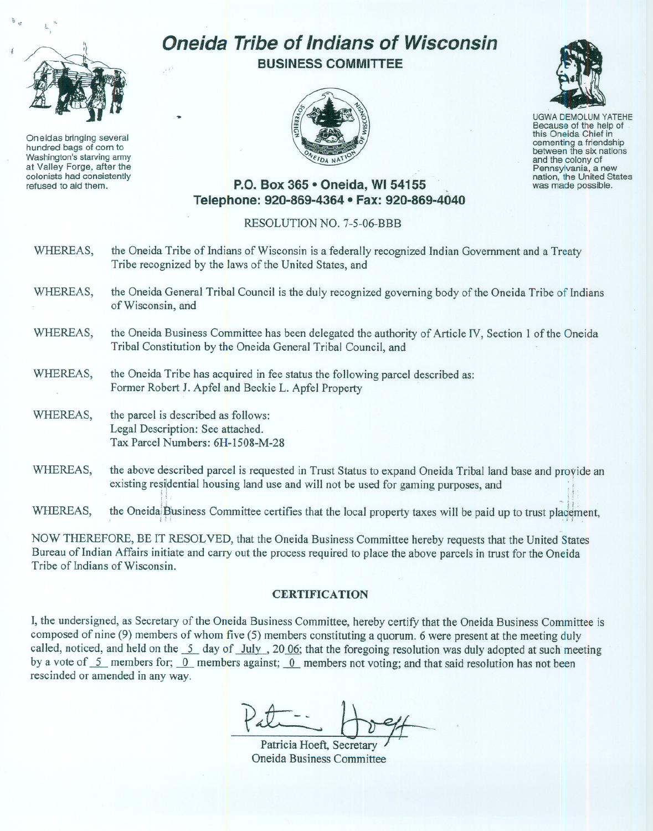

Oneidas bringing several hundred bags of corn to Washington's starving army at Valley Forge, after the refused to aid them.

## **Oneida Tribe of Indians of Wisconsin BUSINESS COMMITTEE**





UGWA DEMOLUM YATEHE Because of the help of this Oneida Chief in<br>cementing a friendship between the six nations and the colony of<br>Pennsylvania, a new nation, the United States was made possible.

## **P.O. Box 365· Oneida, WI 54155 Telephone: 920-869-4364 • Fax: 920-869-4040**

## RESOLUTION NO. 7-5-06-BBB

- WHEREAS, the Oneida Tribe of Indians of Wisconsin is a federally recognized Indian Government and a Treaty Tribe recognized by the laws of the United States, and
- WHEREAS, the Oneida General Tribal Council is the duly recognized governing body of the Oneida Tribe of Indians of Wisconsin, and
- WHEREAS, the Oneida Business Committee has been delegated the authority of Article TV, Section I of the Oneida Tribal Constitution by the Oneida General Tribal Council, and
- WHEREAS, the Oneida Tribe has acquired in fee status the following parcel described as: Former Robert J. Apfel and Beckie L. Apfel Property
- WHEREAS, the parcel is described as follows: Legal Description: See attached. Tax Parcel Numbers: 6H-1508-M-28
- WHEREAS, the above described parcel is requested in Trust Status to expand Oneida Tribal land base and proride an existing residential nousing land use and will not be used for gaming purposes, and ...

WHEREAS, the Oneida Business Committee certifies that the local property taxes will be paid up to trust placement,

:. "C",

NOW THEREFORE, BE IT RESOLVED, that the Oneida Business Committee hereby requests that the United States Bureau of Indian Affairs initiate and carry out the process required to place the above parcels in trust for the Oneida Tribe of Indians of Wisconsin.

## **CERTIFICA TION**

I, the undersigned, as Secretary of the Oneida Business Committee, hereby certify that the Oneida Business Committee is composed of nine (9) members of whom five (5) members constituting a quorum. 6 were present at the meeting duly called, noticed, and held on the  $\frac{5}{2}$  day of July, 20.06; that the foregoing resolution was duly adopted at such meeting by a vote of 5\_ members for; 0\_ members against; 0\_ members not voting; and that said resolution has not been rescinded or amended in any way.

Pallette Recretary<br>
Patricia Hoeft, Secretary<br>
Oneida Business Committee